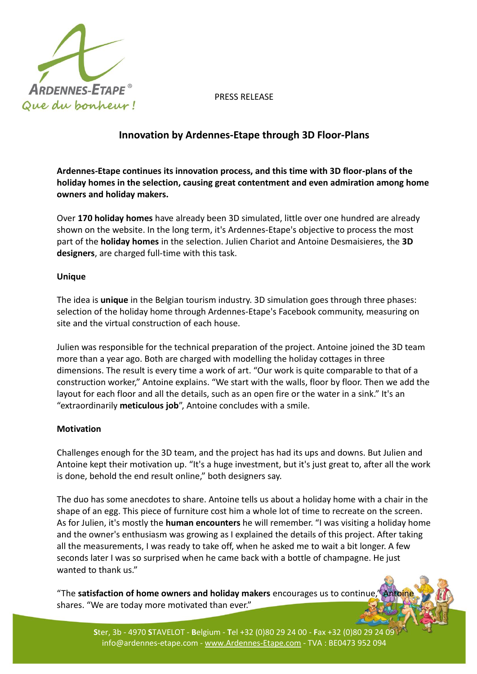

PRESS RELEASE

## **Innovation by Ardennes-Etape through 3D Floor-Plans**

**Ardennes-Etape continues its innovation process, and this time with 3D floor-plans of the holiday homes in the selection, causing great contentment and even admiration among home owners and holiday makers.**

Over **170 holiday homes** have already been 3D simulated, little over one hundred are already shown on the website. In the long term, it's Ardennes-Etape's objective to process the most part of the **holiday homes** in the selection. Julien Chariot and Antoine Desmaisieres, the **3D designers**, are charged full-time with this task.

## **Unique**

The idea is **unique** in the Belgian tourism industry. 3D simulation goes through three phases: selection of the holiday home through Ardennes-Etape's Facebook community, measuring on site and the virtual construction of each house.

Julien was responsible for the technical preparation of the project. Antoine joined the 3D team more than a year ago. Both are charged with modelling the holiday cottages in three dimensions. The result is every time a work of art. "Our work is quite comparable to that of a construction worker," Antoine explains. "We start with the walls, floor by floor. Then we add the layout for each floor and all the details, such as an open fire or the water in a sink." It's an "extraordinarily **meticulous job**", Antoine concludes with a smile.

## **Motivation**

Challenges enough for the 3D team, and the project has had its ups and downs. But Julien and Antoine kept their motivation up. "It's a huge investment, but it's just great to, after all the work is done, behold the end result online," both designers say.

The duo has some anecdotes to share. Antoine tells us about a holiday home with a chair in the shape of an egg. This piece of furniture cost him a whole lot of time to recreate on the screen. As for Julien, it's mostly the **human encounters** he will remember. "I was visiting a holiday home and the owner's enthusiasm was growing as I explained the details of this project. After taking all the measurements, I was ready to take off, when he asked me to wait a bit longer. A few seconds later I was so surprised when he came back with a bottle of champagne. He just wanted to thank us."

"The **satisfaction of home owners and holiday makers** encourages us to continue, shares. "We are today more motivated than ever."

**S**ter, 3b - 4970 **S**TAVELOT - **B**elgium - **T**el +32 (0)80 29 24 00 - **F**ax +32 (0)80 29 24 09 info@ardennes-etape.com - www.Ardennes-Etape.com - TVA : BE0473 952 094